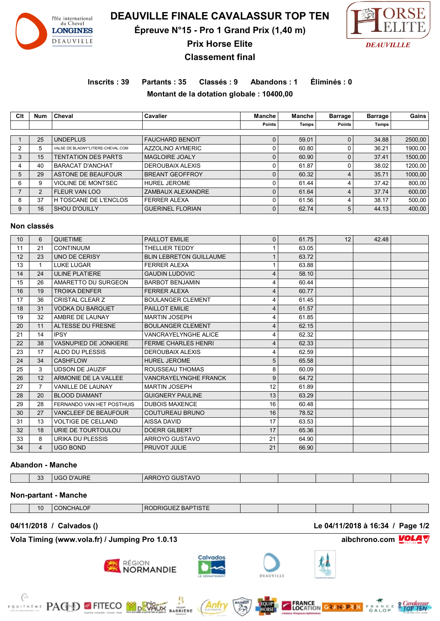

**DEAUVILLE FINALE CAVALASSUR TOP TEN**

**Épreuve N°15 - Pro 1 Grand Prix (1,40 m)**



**Prix Horse Elite Classement final**

# **Inscrits : 39 Partants : 35 Classés : 9 Abandons : 1 Éliminés : 0**

**Montant de la dotation globale : 10400,00**

**Clt Num Cheval Cavalier Manche Manche Barrage Barrage Gains Points Temps Points Temps** 1 25 UNDEPLUS FAUCHARD BENOIT 0 59.01 0 34.88 2500,00 2 5 VALSE DE BLAGNY\*LITIERE-CHEVAL.COM AZZOLINO AYMERIC (0 60.80 0 36.21 1900,00 3 15 TENTATION DES PARTS MAGLOIRE JOALY 15 0 60.90 0 37.41 1500,00 40 BARACAT D'ANCHAT DEROUBAIX ALEXIS 0 61.87 0 38.02 1200,00 29 ASTONE DE BEAUFOUR BREANT GEOFFROY 0 60.32 4 35.71 1000,00 9 VIOLINE DE MONTSEC HUREL JEROME 0 61.44 4 37.42 800,00 2 FLEUR VAN LOO ZAMBAUX ALEXANDRE 0 61.64 4 37.74 600,00 37 H TOSCANE DE L'ENCLOS FERRER ALEXA 0 61.56 4 38.17 500,00 9 16 SHOU D'OUILLY GUERINEL FLORIAN 0 62.74 5 44.13 400.00

#### **Non classés**

| 10 | 6              | <b>QUIETIME</b>              | PAILLOT EMILIE                 | 0  | 61.75 | 12 | 42.48 |  |
|----|----------------|------------------------------|--------------------------------|----|-------|----|-------|--|
| 11 | 21             | <b>CONTINUUM</b>             | THELLIER TEDDY                 |    | 63.05 |    |       |  |
| 12 | 23             | <b>UNO DE CERISY</b>         | <b>BLIN LEBRETON GUILLAUME</b> |    | 63.72 |    |       |  |
| 13 | 1              | <b>LUKE LUGAR</b>            | <b>FERRER ALEXA</b>            |    | 63.88 |    |       |  |
| 14 | 24             | <b>ULINE PLATIERE</b>        | <b>GAUDIN LUDOVIC</b>          |    | 58.10 |    |       |  |
| 15 | 26             | AMARETTO DU SURGEON          | <b>BARBOT BENJAMIN</b>         |    | 60.44 |    |       |  |
| 16 | 19             | <b>TROIKA DENFER</b>         | <b>FERRER ALEXA</b>            |    | 60.77 |    |       |  |
| 17 | 36             | <b>CRISTAL CLEAR Z</b>       | <b>BOULANGER CLEMENT</b>       |    | 61.45 |    |       |  |
| 18 | 31             | <b>VODKA DU BARQUET</b>      | PAILLOT EMILIE                 |    | 61.57 |    |       |  |
| 19 | 32             | AMBRE DE LAUNAY              | <b>MARTIN JOSEPH</b>           |    | 61.85 |    |       |  |
| 20 | 11             | <b>ALTESSE DU FRESNE</b>     | <b>BOULANGER CLEMENT</b>       |    | 62.15 |    |       |  |
| 21 | 14             | <b>IPSY</b>                  | <b>VANCRAYELYNGHE ALICE</b>    |    | 62.32 |    |       |  |
| 22 | 38             | <b>VASNUPIED DE JONKIERE</b> | <b>FERME CHARLES HENRI</b>     |    | 62.33 |    |       |  |
| 23 | 17             | ALDO DU PLESSIS              | <b>DEROUBAIX ALEXIS</b>        |    | 62.59 |    |       |  |
| 24 | 34             | <b>CASHFLOW</b>              | <b>HUREL JEROME</b>            | 5  | 65.58 |    |       |  |
| 25 | 3              | <b>UDSON DE JAUZIF</b>       | ROUSSEAU THOMAS                | 8  | 60.09 |    |       |  |
| 26 | 12             | ARMONIE DE LA VALLEE         | <b>VANCRAYELYNGHE FRANCK</b>   | 9  | 64.72 |    |       |  |
| 27 | 7              | <b>VANILLE DE LAUNAY</b>     | <b>MARTIN JOSEPH</b>           | 12 | 61.89 |    |       |  |
| 28 | 20             | <b>BLOOD DIAMANT</b>         | <b>GUIGNERY PAULINE</b>        | 13 | 63.29 |    |       |  |
| 29 | 28             | FERNANDO VAN HET POSTHUIS    | <b>DUBOIS MAXENCE</b>          | 16 | 60.48 |    |       |  |
| 30 | 27             | <b>VANCLEEF DE BEAUFOUR</b>  | COUTUREAU BRUNO                | 16 | 78.52 |    |       |  |
| 31 | 13             | <b>VOLTIGE DE CELLAND</b>    | AISSA DAVID                    | 17 | 63.53 |    |       |  |
| 32 | 18             | URIE DE TOURTOULOU           | <b>DOERR GILBERT</b>           | 17 | 65.36 |    |       |  |
| 33 | 8              | URIKA DU PLESSIS             | ARROYO GUSTAVO                 | 21 | 64.90 |    |       |  |
| 34 | $\overline{4}$ | <b>UGO BOND</b>              | PRUVOT JULIE                   | 21 | 66.90 |    |       |  |

#### **Abandon - Manche**

| ാാ<br>AURE |  | 3110F<br>22<br>$\mathbf{H}$ | <b>TAVC</b><br>ARRC<br>־ים ו |  |  |  |  |  |
|------------|--|-----------------------------|------------------------------|--|--|--|--|--|
|------------|--|-----------------------------|------------------------------|--|--|--|--|--|

### **Non-partant - Manche**

| 10 | ⊣∧<br>N | TIOTE<br>י -<br>זור<br>۱۱ ت<br>$-$ DAP $\cdot$ |  |  |  |
|----|---------|------------------------------------------------|--|--|--|

**Vola Timing (www.vola.fr) / Jumping Pro 1.0.13 aibchrono.com VOLA** 

**EXAMPLE PAGED FITECO MORTALIST** 







MSONT<br>RRIERE